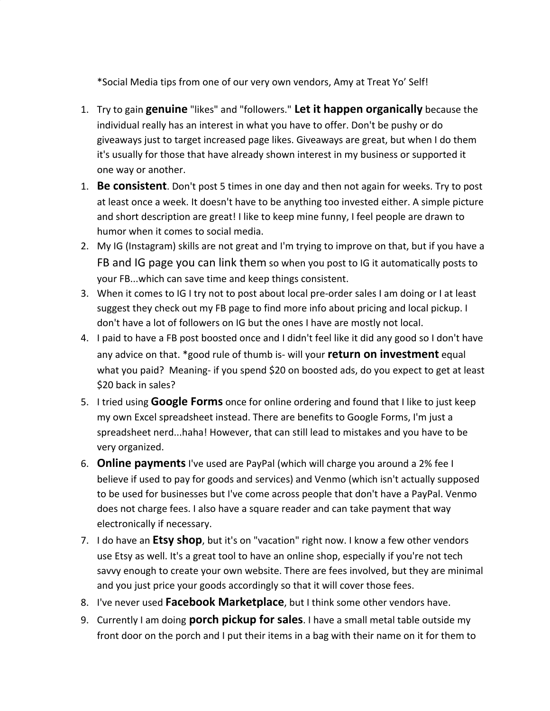\*Social Media tips from one of our very own vendors, Amy at Treat Yo' Self!

- 1. Try to gain **genuine** "likes" and "followers." **Let it happen organically** because the individual really has an interest in what you have to offer. Don't be pushy or do giveaways just to target increased page likes. Giveaways are great, but when I do them it's usually for those that have already shown interest in my business or supported it one way or another.
- 1. **Be consistent**. Don't post 5 times in one day and then not again for weeks. Try to post at least once a week. It doesn't have to be anything too invested either. A simple picture and short description are great! I like to keep mine funny, I feel people are drawn to humor when it comes to social media.
- 2. My IG (Instagram) skills are not great and I'm trying to improve on that, but if you have a FB and IG page you can link them so when you post to IG it automatically posts to your FB...which can save time and keep things consistent.
- 3. When it comes to IG I try not to post about local pre-order sales I am doing or I at least suggest they check out my FB page to find more info about pricing and local pickup. I don't have a lot of followers on IG but the ones I have are mostly not local.
- 4. I paid to have a FB post boosted once and I didn't feel like it did any good so I don't have any advice on that. \*good rule of thumb is- will your **return on investment** equal what you paid? Meaning- if you spend \$20 on boosted ads, do you expect to get at least \$20 back in sales?
- 5. I tried using **Google Forms** once for online ordering and found that I like to just keep my own Excel spreadsheet instead. There are benefits to Google Forms, I'm just a spreadsheet nerd...haha! However, that can still lead to mistakes and you have to be very organized.
- 6. **Online payments** I've used are PayPal (which will charge you around a 2% fee I believe if used to pay for goods and services) and Venmo (which isn't actually supposed to be used for businesses but I've come across people that don't have a PayPal. Venmo does not charge fees. I also have a square reader and can take payment that way electronically if necessary.
- 7. I do have an **Etsy shop**, but it's on "vacation" right now. I know a few other vendors use Etsy as well. It's a great tool to have an online shop, especially if you're not tech savvy enough to create your own website. There are fees involved, but they are minimal and you just price your goods accordingly so that it will cover those fees.
- 8. I've never used **Facebook Marketplace**, but I think some other vendors have.
- 9. Currently I am doing **porch pickup for sales**. I have a small metal table outside my front door on the porch and I put their items in a bag with their name on it for them to